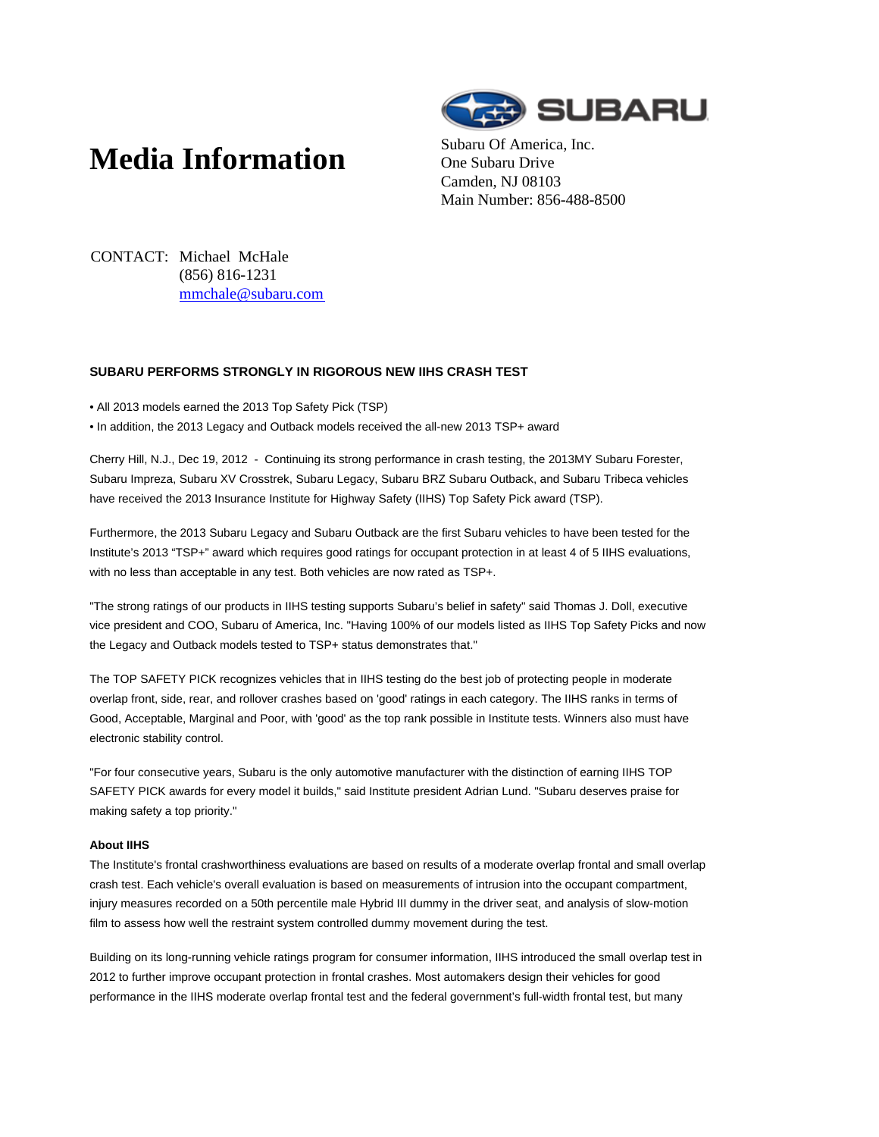## **Media Information** Subaru Of America, Inc.



One Subaru Drive Camden, NJ 08103 Main Number: 856-488-8500

CONTACT: Michael McHale (856) 816-1231 mmchale@subaru.com

## **SUBARU PERFORMS STRONGLY IN RIGOROUS NEW IIHS CRASH TEST**

• All 2013 models earned the 2013 Top Safety Pick (TSP)

• In addition, the 2013 Legacy and Outback models received the all-new 2013 TSP+ award

Cherry Hill, N.J., Dec 19, 2012 - Continuing its strong performance in crash testing, the 2013MY Subaru Forester, Subaru Impreza, Subaru XV Crosstrek, Subaru Legacy, Subaru BRZ Subaru Outback, and Subaru Tribeca vehicles have received the 2013 Insurance Institute for Highway Safety (IIHS) Top Safety Pick award (TSP).

Furthermore, the 2013 Subaru Legacy and Subaru Outback are the first Subaru vehicles to have been tested for the Institute's 2013 "TSP+" award which requires good ratings for occupant protection in at least 4 of 5 IIHS evaluations, with no less than acceptable in any test. Both vehicles are now rated as TSP+.

"The strong ratings of our products in IIHS testing supports Subaru's belief in safety" said Thomas J. Doll, executive vice president and COO, Subaru of America, Inc. "Having 100% of our models listed as IIHS Top Safety Picks and now the Legacy and Outback models tested to TSP+ status demonstrates that."

The TOP SAFETY PICK recognizes vehicles that in IIHS testing do the best job of protecting people in moderate overlap front, side, rear, and rollover crashes based on 'good' ratings in each category. The IIHS ranks in terms of Good, Acceptable, Marginal and Poor, with 'good' as the top rank possible in Institute tests. Winners also must have electronic stability control.

"For four consecutive years, Subaru is the only automotive manufacturer with the distinction of earning IIHS TOP SAFETY PICK awards for every model it builds," said Institute president Adrian Lund. "Subaru deserves praise for making safety a top priority."

## **About IIHS**

The Institute's frontal crashworthiness evaluations are based on results of a moderate overlap frontal and small overlap crash test. Each vehicle's overall evaluation is based on measurements of intrusion into the occupant compartment, injury measures recorded on a 50th percentile male Hybrid III dummy in the driver seat, and analysis of slow-motion film to assess how well the restraint system controlled dummy movement during the test.

Building on its long-running vehicle ratings program for consumer information, IIHS introduced the small overlap test in 2012 to further improve occupant protection in frontal crashes. Most automakers design their vehicles for good performance in the IIHS moderate overlap frontal test and the federal government's full-width frontal test, but many